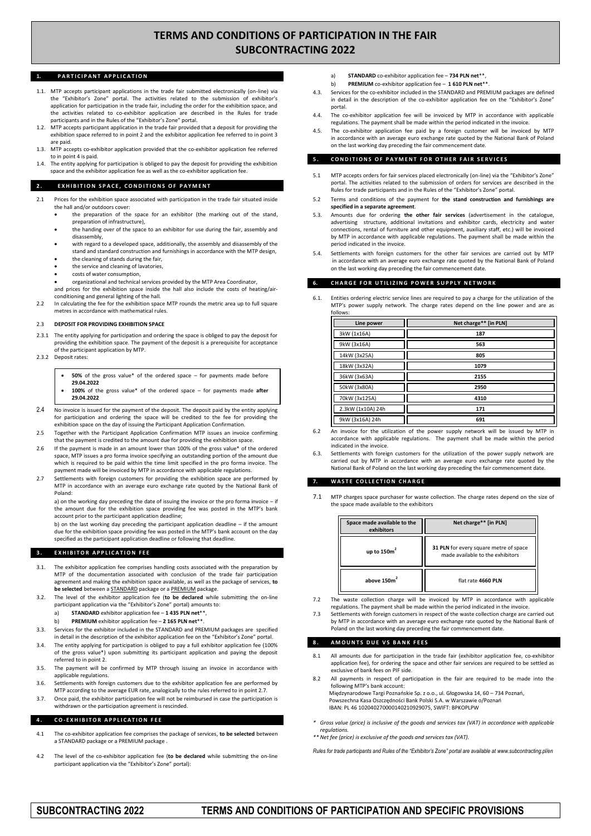# **TERMS AND CONDITIONS OF PARTICIPATION IN THE FAIR SUBCONTRACTING 2022**

# 1. **PARTICIPANT APPLICATION**

- 1.1. MTP accepts participant applications in the trade fair submitted electronically (on-line) via the "Exhibitor's Zone" portal. The activities related to the submission of exhibitor's application for participation in the trade fair, including the order for the exhibition space, and the activities related to co-exhibitor application are described in the Rules for trade participants and in the Rules of the "Exhibitor's Zone" portal.
- 1.2. MTP accepts participant application in the trade fair provided that a deposit for providing the exhibition space referred to in point 2 and the exhibitor application fee referred to in point 3 are paid.
- 1.3. MTP accepts co-exhibitor application provided that the co-exhibitor application fee referred to in point 4 is paid.
- The entity applying for participation is obliged to pay the deposit for providing the exhibition space and the exhibitor application fee as well as the co-exhibitor application fee.

#### **2. EXHIBITION SPACE, CONDITIONS OF PAYMENT**

- 2.1 Prices for the exhibition space associated with participation in the trade fair situated inside the hall and/or outdoors cover:
	- the preparation of the space for an exhibitor (the marking out of the stand, preparation of infrastructure),
	- the handing over of the space to an exhibitor for use during the fair, assembly and disassembly,
	- with regard to a developed space, additionally, the assembly and disassembly of the stand and standard construction and furnishings in accordance with the MTP design,
	- the cleaning of stands during the fair,
	- the service and cleaning of lavatories,
	- costs of water consumption,

 organizational and technical services provided by the MTP Area Coordinator, and prices for the exhibition space inside the hall also include the costs of heating/air-

conditioning and general lighting of the hall. 2.2 In calculating the fee for the exhibition space MTP rounds the metric area up to full square metres in accordance with mathematical rules.

#### 2.3 **DEPOSIT FOR PROVIDING EXHIBITION SPACE**

- 2.3.1 The entity applying for participation and ordering the space is obliged to pay the deposit for providing the exhibition space. The payment of the deposit is a prerequisite for acceptance of the participant application by MTP.
- 2.3.2 Deposit rates:
	- **50%** of the gross value\* of the ordered space for payments made before **29.04.2022**
	- **100%** of the gross value\* of the ordered space for payments made **after 29.04.2022**
- 2.4 No invoice is issued for the payment of the deposit. The deposit paid by the entity applying for participation and ordering the space will be credited to the fee for providing the exhibition space on the day of issuing the Participant Application Confirmation.
- 2.5 Together with the Participant Application Confirmation MTP issues an invoice confirming that the payment is credited to the amount due for providing the exhibition space.
- 2.6 If the payment is made in an amount lower than 100% of the gross value\* of the ordered space, MTP issues a pro forma invoice specifying an outstanding portion of the amount due which is required to be paid within the time limit specified in the pro forma invoice. The payment made will be invoiced by MTP in accordance with applicable regulations.
- 2.7 Settlements with foreign customers for providing the exhibition space are performed by MTP in accordance with an average euro exchange rate quoted by the National Bank of Poland:

a) on the working day preceding the date of issuing the invoice or the pro forma invoice – if the amount due for the exhibition space providing fee was posted in the MTP's bank account prior to the participant application deadline;

b) on the last working day preceding the participant application deadline – if the amount due for the exhibition space providing fee was posted in the MTP's bank account on the day specified as the participant application deadline or following that deadline

#### **3. EXHIBITOR APPLICATION FEE**

- 3.1. The exhibitor application fee comprises handling costs associated with the preparation by MTP of the documentation associated with conclusion of the trade fair participation agreement and making the exhibition space available, as well as the package of services, **to be selected** between a STANDARD package or a PREMIUM package.
- 3.2. The level of the exhibitor application fee (**to be declared** while submitting the on-line participant application via the "Exhibitor's Zone" portal) amounts to:
	- a) **STANDARD** exhibitor application fee **1 435 PLN net**\*\*,
	- b) **PREMIUM** exhibitor application fee **2 165 PLN net**\*\*.
- 3.3. Services for the exhibitor included in the STANDARD and PREMIUM packages are specified in detail in the description of the exhibitor application fee on the "Exhibitor's Zone" portal.
- 3.4. The entity applying for participation is obliged to pay a full exhibitor application fee (100% of the gross value\*) upon submitting its participant application and paying the deposit referred to in point 2.
- 3.5. The payment will be confirmed by MTP through issuing an invoice in accordance with applicable regulations.
- 3.6. Settlements with foreign customers due to the exhibitor application fee are performed by MTP according to the average EUR rate, analogically to the rules referred to in point 2.7.
- 3.7. Once paid, the exhibitor participation fee will not be reimbursed in case the participation is withdrawn or the participation agreement is rescinded.

# **4 . C O - E X H I B I T O R A P P L I C A T I O N F E E**

- 4.1 The co-exhibitor application fee comprises the package of services, **to be selected** between a STANDARD package or a PREMIUM package
- 4.2 The level of the co-exhibitor application fee (**to be declared** while submitting the on-line participant application via the "Exhibitor's Zone" portal):
- a) **STANDARD** co-exhibitor application fee **734 PLN net**\*\*,
- b) **PREMIUM** co-exhibitor application fee **1 610 PLN net**\*\*.
- 4.3. Services for the co-exhibitor included in the STANDARD and PREMIUM packages are defined in detail in the description of the co-exhibitor application fee on the "Exhibitor's Zor portal.
- 4.4. The co-exhibitor application fee will be invoiced by MTP in accordance with applicable regulations. The payment shall be made within the period indicated in the invoice.
- The co-exhibitor application fee paid by a foreign customer will be invoiced by MTP in accordance with an average euro exchange rate quoted by the National Bank of Poland on the last working day preceding the fair commencement date.

## **CONDITIONS OF PAYMENT FOR OTHER FAIR SERVICES**

- 5.1 MTP accepts orders for fair services placed electronically (on-line) via the "Exhibitor's Zone" portal. The activities related to the submission of orders for services are described in the Rules for trade participants and in the Rules of the "Exhibitor's Zone" portal.
- 5.2 Terms and conditions of the payment for **the stand construction and furnishings are specified in a separate agreement**.
- 5.3. Amounts due for ordering **the other fair services** (advertisement in the catalogue, advertising structure, additional invitations and exhibitor cards, electricity and water connections, rental of furniture and other equipment, auxiliary staff, etc.) will be invoiced by MTP in accordance with applicable regulations. The payment shall be made within the period indicated in the invoice.
- 5.4. Settlements with foreign customers for the other fair services are carried out by MTP in accordance with an average euro exchange rate quoted by the National Bank of Poland on the last working day preceding the fair commencement date.

# **CHARGE FOR UTILIZING POWER SUPPLY NETWORK**

Entities ordering electric service lines are required to pay a charge for the utilization of the MTP's power supply network. The charge rates depend on the line power and are as follows:

| Line power        | Net charge** [in PLN] |
|-------------------|-----------------------|
| 3kW (1x16A)       | 187                   |
| 9kW (3x16A)       | 563                   |
| 14kW (3x25A)      | 805                   |
| 18kW (3x32A)      | 1079                  |
| 36kW (3x63A)      | 2155                  |
| 50kW (3x80A)      | 2950                  |
| 70kW (3x125A)     | 4310                  |
| 2.3kW (1x10A) 24h | 171                   |
| 9kW (3x16A) 24h   | 691                   |

- 6.2 An invoice for the utilization of the power supply network will be issued by MTP in accordance with applicable regulations. The payment shall be made within the period indicated in the invoice.
- Settlements with foreign customers for the utilization of the power supply network are carried out by MTP in accordance with an average euro exchange rate quoted by the National Bank of Poland on the last working day preceding the fair commencement date.

## **WASTE COLLECTION CHARGE**

7.1 MTP charges space purchaser for waste collection. The charge rates depend on the size of the space made available to the exhibitors

| Space made available to the<br>exhibitors | Net charge** [in PLN]                                                      |
|-------------------------------------------|----------------------------------------------------------------------------|
| up to $150m2$                             | 31 PLN for every square metre of space<br>made available to the exhibitors |
| above $150m2$                             | flat rate 4660 PLN                                                         |

- 7.2 The waste collection charge will be invoiced by MTP in accordance with applicable regulations. The payment shall be made within the period indicated in the invoice.
- 7.3 Settlements with foreign customers in respect of the waste collection charge are carried out betalemente man energy encounter. Poland on the last working day preceding the fair commencement date

## **8 . A M O U N T S D U E V S B A N K F E E S**

- 8.1 All amounts due for participation in the trade fair (exhibitor application fee, co-exhibitor application fee), for ordering the space and other fair services are required to be settled as exclusive of bank fees on PIF side.
- 8.2 All payments in respect of participation in the fair are required to be made into the following MTP's bank account:
	- Międzynarodowe Targi Poznańskie Sp. z o.o., ul. Głogowska 14, 60 734 Poznań, Powszechna Kasa Oszczędności Bank Polski S.A. w Warszawie o/Poznań IBAN: PL 46 102040270000140210929075, SWIFT: BPKOPLPW
- *\* Gross value (price) is inclusive of the goods and services tax (VAT) in accordance with applicable regulations.*
- *\*\* Net fee (price) is exclusive of the goods and services tax (VAT).*
- *Rules for trade participants and Rules of the "Exhibitor's Zone" portal are available at www.subcontracting.pl/en*